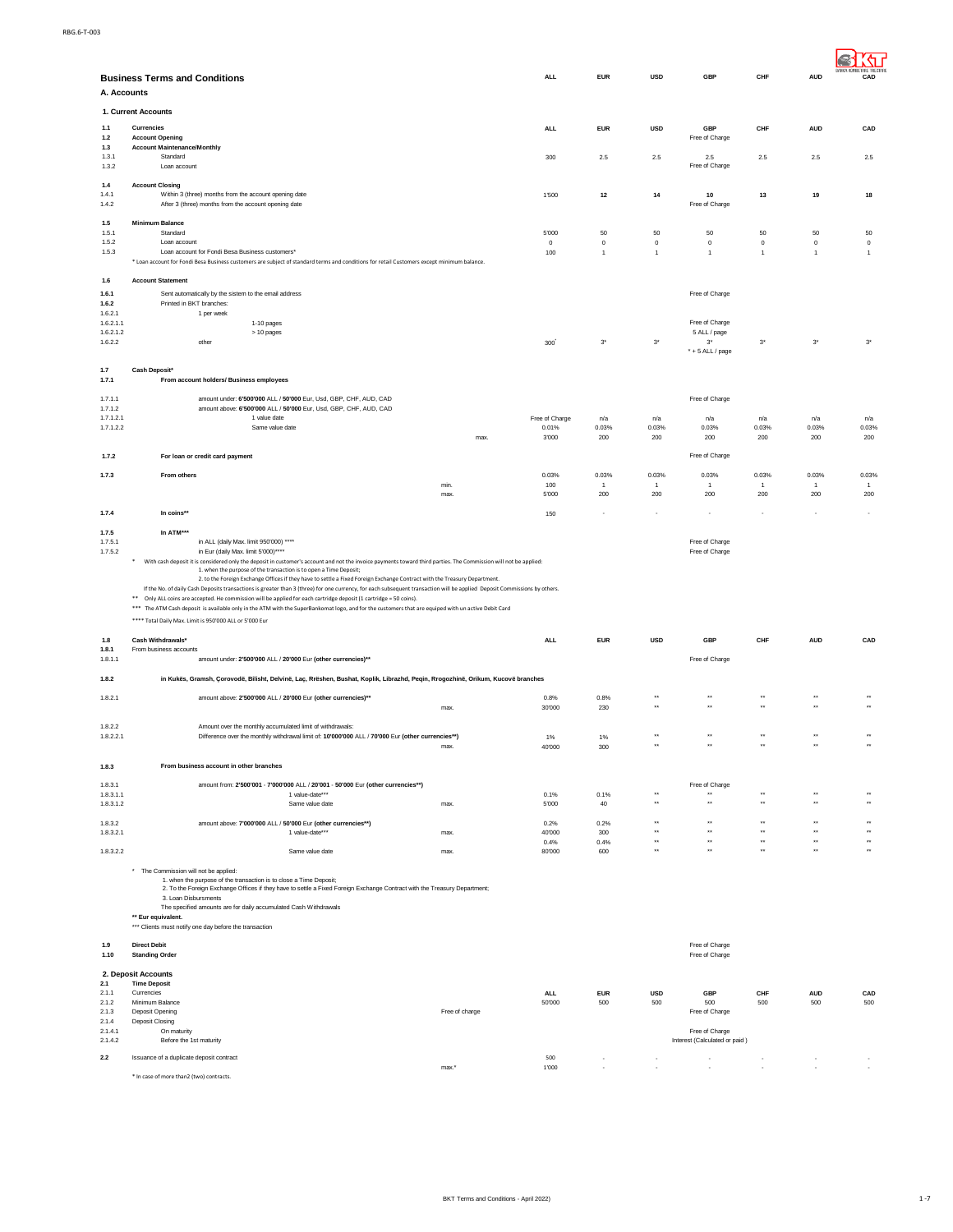| A. Accounts            | <b>Business Terms and Conditions</b>                                                                                                                                                                                                                                                                                                                                                                                                                                                                                                                                                                                                                                                                                           |                | <b>ALL</b>       | <b>EUR</b>     | <b>USD</b>                           | GBP                                             | CHF                                  | <b>AUD</b>                           | CAD                                        |
|------------------------|--------------------------------------------------------------------------------------------------------------------------------------------------------------------------------------------------------------------------------------------------------------------------------------------------------------------------------------------------------------------------------------------------------------------------------------------------------------------------------------------------------------------------------------------------------------------------------------------------------------------------------------------------------------------------------------------------------------------------------|----------------|------------------|----------------|--------------------------------------|-------------------------------------------------|--------------------------------------|--------------------------------------|--------------------------------------------|
|                        | 1. Current Accounts                                                                                                                                                                                                                                                                                                                                                                                                                                                                                                                                                                                                                                                                                                            |                |                  |                |                                      |                                                 |                                      |                                      |                                            |
| 1.1<br>1.2             | Currencies<br><b>Account Opening</b>                                                                                                                                                                                                                                                                                                                                                                                                                                                                                                                                                                                                                                                                                           |                | <b>ALL</b>       | <b>EUR</b>     | <b>USD</b>                           | GBP<br>Free of Charge                           | CHF                                  | <b>AUD</b>                           | CAD                                        |
| 1.3<br>1.3.1<br>1.3.2  | <b>Account Maintenance/Monthly</b><br>Standard<br>Loan account                                                                                                                                                                                                                                                                                                                                                                                                                                                                                                                                                                                                                                                                 |                | 300              | $2.5\,$        | $2.5\,$                              | 2.5<br>Free of Charge                           | $2.5\,$                              | $2.5\,$                              | $2.5\,$                                    |
| 1.4<br>1.4.1<br>1.4.2  | <b>Account Closing</b><br>Within 3 (three) months from the account opening date<br>After 3 (three) months from the account opening date                                                                                                                                                                                                                                                                                                                                                                                                                                                                                                                                                                                        |                | 1'500            | 12             | 14                                   | 10<br>Free of Charge                            | 13                                   | 19                                   | 18                                         |
| 1.5<br>1.5.1           | <b>Minimum Balance</b><br>Standard                                                                                                                                                                                                                                                                                                                                                                                                                                                                                                                                                                                                                                                                                             |                |                  |                |                                      |                                                 |                                      |                                      |                                            |
| 1.5.2                  | Loan account                                                                                                                                                                                                                                                                                                                                                                                                                                                                                                                                                                                                                                                                                                                   |                | 5'000<br>$\,0\,$ | 50<br>$\,0\,$  | 50<br>$\,0\,$                        | 50<br>$\circ$                                   | 50<br>$\circ$                        | 50<br>$\,0\,$                        | 50<br>$\circ$                              |
| 1.5.3                  | Loan account for Fondi Besa Business customers'<br>* Loan account for Fondi Besa Business customers are subject of standard terms and conditions for retail Customers except minimum balance.                                                                                                                                                                                                                                                                                                                                                                                                                                                                                                                                  |                | 100              | $\mathbf{1}$   | $\mathbf{1}$                         | $\overline{1}$                                  | $\overline{1}$                       | $\overline{1}$                       | $\overline{1}$                             |
| 1.6                    | <b>Account Statement</b>                                                                                                                                                                                                                                                                                                                                                                                                                                                                                                                                                                                                                                                                                                       |                |                  |                |                                      |                                                 |                                      |                                      |                                            |
| 1.6.1<br>1.6.2         | Sent automatically by the sistem to the email address<br>Printed in BKT branches:                                                                                                                                                                                                                                                                                                                                                                                                                                                                                                                                                                                                                                              |                |                  |                |                                      | Free of Charge                                  |                                      |                                      |                                            |
| 1.6.2.1                | 1 per week                                                                                                                                                                                                                                                                                                                                                                                                                                                                                                                                                                                                                                                                                                                     |                |                  |                |                                      |                                                 |                                      |                                      |                                            |
| 1.6.2.1.1<br>1.6.2.1.2 | 1-10 pages<br>> 10 pages                                                                                                                                                                                                                                                                                                                                                                                                                                                                                                                                                                                                                                                                                                       |                |                  |                |                                      | Free of Charge<br>5 ALL / page                  |                                      |                                      |                                            |
| 1.6.2.2                | other                                                                                                                                                                                                                                                                                                                                                                                                                                                                                                                                                                                                                                                                                                                          |                | 300              | $3^\star$      | $3^{\ast}$                           | $3^*$<br>$* + 5$ ALL / page                     | $3^*$                                | $3^\star$                            | $3^\star$                                  |
| 1.7                    | <b>Cash Deposit®</b>                                                                                                                                                                                                                                                                                                                                                                                                                                                                                                                                                                                                                                                                                                           |                |                  |                |                                      |                                                 |                                      |                                      |                                            |
| 1.7.1                  | From account holders/ Business employees                                                                                                                                                                                                                                                                                                                                                                                                                                                                                                                                                                                                                                                                                       |                |                  |                |                                      |                                                 |                                      |                                      |                                            |
| 1.7.1.1<br>1.7.1.2     | amount under: 6'500'000 ALL / 50'000 Eur, Usd, GBP, CHF, AUD, CAD<br>amount above: 6'500'000 ALL / 50'000 Eur, Usd, GBP, CHF, AUD, CAD                                                                                                                                                                                                                                                                                                                                                                                                                                                                                                                                                                                         |                |                  |                |                                      | Free of Charge                                  |                                      |                                      |                                            |
| 1.7.1.2.1              | 1 value date                                                                                                                                                                                                                                                                                                                                                                                                                                                                                                                                                                                                                                                                                                                   |                | Free of Charge   | n/a            | n/a                                  | n/a                                             | n/a                                  | n/a                                  | n/a                                        |
| 1.7.1.2.2              | Same value date                                                                                                                                                                                                                                                                                                                                                                                                                                                                                                                                                                                                                                                                                                                | max.           | 0.01%<br>3'000   | 0.03%<br>200   | 0.03%<br>200                         | 0.03%<br>200                                    | 0.03%<br>200                         | 0.03%<br>200                         | 0.03%<br>200                               |
| 1.7.2                  | For loan or credit card payment                                                                                                                                                                                                                                                                                                                                                                                                                                                                                                                                                                                                                                                                                                |                |                  |                |                                      | Free of Charge                                  |                                      |                                      |                                            |
| 1.7.3                  | From others                                                                                                                                                                                                                                                                                                                                                                                                                                                                                                                                                                                                                                                                                                                    |                | 0.03%            | 0.03%          | 0.03%                                | 0.03%                                           | 0.03%                                | 0.03%                                | 0.03%                                      |
|                        |                                                                                                                                                                                                                                                                                                                                                                                                                                                                                                                                                                                                                                                                                                                                | min.           | 100              | $\overline{1}$ | $\overline{1}$                       | $\mathbf{1}$                                    | $\overline{1}$                       | $\overline{1}$                       | $\mathbf{1}$                               |
|                        |                                                                                                                                                                                                                                                                                                                                                                                                                                                                                                                                                                                                                                                                                                                                | max.           | 5'000            | 200            | 200                                  | 200                                             | 200                                  | 200                                  | 200                                        |
| 1.7.4                  | In coins**                                                                                                                                                                                                                                                                                                                                                                                                                                                                                                                                                                                                                                                                                                                     |                | 150              |                |                                      |                                                 |                                      |                                      |                                            |
| 1.7.5                  | In ATM***<br>in ALL (daily Max. limit 950'000) ****                                                                                                                                                                                                                                                                                                                                                                                                                                                                                                                                                                                                                                                                            |                |                  |                |                                      |                                                 |                                      |                                      |                                            |
| 1.7.5.1<br>1.7.5.2     | in Eur (daily Max. limit 5'000)****                                                                                                                                                                                                                                                                                                                                                                                                                                                                                                                                                                                                                                                                                            |                |                  |                |                                      | Free of Charge<br>Free of Charge                |                                      |                                      |                                            |
|                        | 1. when the purpose of the transaction is to open a Time Deposit;<br>2. to the Foreign Exchange Offices if they have to settle a Fixed Foreign Exchange Contract with the Treasury Department.<br>If the No. of daily Cash Deposits transactions is greater than 3 (three) for one currency, for each subsequent transaction will be applied Deposit Commissions by others.<br>$\ast\ast$<br>Only ALL coins are accepted. He commission will be applied for each cartridge deposit (1 cartridge = 50 coins).<br>*** The ATM Cash deposit is available only in the ATM with the SuperBankomat logo, and for the customers that are equiped with un active Debit Card<br>**** Total Daily Max. Limit is 950'000 ALL or 5'000 Eur |                |                  |                |                                      |                                                 |                                      |                                      |                                            |
| 1.8                    | Cash Withdrawals*                                                                                                                                                                                                                                                                                                                                                                                                                                                                                                                                                                                                                                                                                                              |                | <b>ALL</b>       | <b>EUR</b>     | <b>USD</b>                           | GBP                                             | CHF                                  | <b>AUD</b>                           | CAD                                        |
| 1.8.1<br>1.8.1.1       | From business accounts<br>amount under: 2'500'000 ALL / 20'000 Eur (other currencies)**                                                                                                                                                                                                                                                                                                                                                                                                                                                                                                                                                                                                                                        |                |                  |                |                                      | Free of Charge                                  |                                      |                                      |                                            |
| 1.8.2                  | in Kukës, Gramsh, Çorovodë, Bilisht, Delvinë, Laç, Rrëshen, Bushat, Koplik, Librazhd, Peqin, Rrogozhinë, Orikum, Kucovë branches                                                                                                                                                                                                                                                                                                                                                                                                                                                                                                                                                                                               |                |                  |                |                                      |                                                 |                                      |                                      |                                            |
| 1.8.2.1                | amount above: 2'500'000 ALL / 20'000 Eur (other currencies)**                                                                                                                                                                                                                                                                                                                                                                                                                                                                                                                                                                                                                                                                  |                | 0.8%             | 0.8%           | $\star$                              | $\star\star$                                    | $\ddot{\phantom{1}}$                 | $\ddot{\phantom{1}}$                 | $\ddot{\phantom{1}}$                       |
|                        |                                                                                                                                                                                                                                                                                                                                                                                                                                                                                                                                                                                                                                                                                                                                | max.           | 30'000           | 230            | $\star$                              | $\star$                                         | $\ddot{\phantom{1}}$                 |                                      | $\ddot{\phantom{1}}$                       |
| 1.8.2.2<br>1.8.2.2.1   | Amount over the monthly accumulated limit of withdrawals:<br>Difference over the monthly withdrawal limit of: 10'000'000 ALL / 70'000 Eur (other currencies**)                                                                                                                                                                                                                                                                                                                                                                                                                                                                                                                                                                 |                | 1%               | 1%             | $\star\star$                         | $\star\star$                                    | $\ddot{\phantom{0}}$                 | $\ddot{\phantom{1}}$                 | $\ddot{\phantom{1}}$                       |
|                        |                                                                                                                                                                                                                                                                                                                                                                                                                                                                                                                                                                                                                                                                                                                                | max.           | 40'000           | 300            |                                      |                                                 |                                      |                                      |                                            |
| 1.8.3                  | From business account in other branches                                                                                                                                                                                                                                                                                                                                                                                                                                                                                                                                                                                                                                                                                        |                |                  |                |                                      |                                                 |                                      |                                      |                                            |
| 1.8.3.1                | amount from: 2'500'001 - 7'000'000 ALL / 20'001 - 50'000 Eur (other currencies**)                                                                                                                                                                                                                                                                                                                                                                                                                                                                                                                                                                                                                                              |                |                  |                |                                      | Free of Charge                                  |                                      |                                      |                                            |
| 1.8.3.1.1<br>1.8.3.1.2 | 1 value-date***<br>Same value date                                                                                                                                                                                                                                                                                                                                                                                                                                                                                                                                                                                                                                                                                             | max.           | 0.1%<br>5'000    | 0.1%<br>40     | $\star\star$<br>$\star\star$         | $\star\star$<br>$\ddot{\phantom{1}}$            | $\star\star$<br>$\ddot{\phantom{1}}$ | $\star\star$<br>$\ddot{\phantom{1}}$ | $\bullet\,\bullet$<br>$\ddot{\phantom{1}}$ |
|                        |                                                                                                                                                                                                                                                                                                                                                                                                                                                                                                                                                                                                                                                                                                                                |                |                  |                | $\star\star$                         | $\star\star$                                    | $\ddot{\phantom{0}}$                 | $\ddot{\phantom{1}}$                 | $\ddot{\phantom{1}}$                       |
| 1.8.3.2<br>1.8.3.2.1   | amount above: 7'000'000 ALL / 50'000 Eur (other currencies**)<br>1 value-date***                                                                                                                                                                                                                                                                                                                                                                                                                                                                                                                                                                                                                                               | max.           | 0.2%<br>40'000   | 0.2%<br>300    | $\star\star$                         | $\star\star$                                    | $\star\star$                         | $\star\star$                         | $\star\star$                               |
| 1.8.3.2.2              | Same value date                                                                                                                                                                                                                                                                                                                                                                                                                                                                                                                                                                                                                                                                                                                | max.           | 0.4%<br>80'000   | 0.4%<br>600    | $\star\star$<br>$\ddot{\phantom{0}}$ | $\star\star$<br>$\ddot{\phantom{0}}$            | $\star\star$<br>$\ddot{\phantom{a}}$ | $\star\star$<br>$\ddot{\phantom{a}}$ | $\star\star$<br>$\ddot{\phantom{a}}$       |
|                        | * The Commission will not be applied:<br>1. when the purpose of the transaction is to close a Time Deposit;<br>2. To the Foreign Exchange Offices if they have to settle a Fixed Foreign Exchange Contract with the Treasury Department;<br>3. Loan Disbursments<br>The specified amounts are for daily accumulated Cash Withdrawals<br>** Eur equivalent.                                                                                                                                                                                                                                                                                                                                                                     |                |                  |                |                                      |                                                 |                                      |                                      |                                            |
|                        | *** Clients must notify one day before the transaction                                                                                                                                                                                                                                                                                                                                                                                                                                                                                                                                                                                                                                                                         |                |                  |                |                                      |                                                 |                                      |                                      |                                            |
| 1.9<br>1.10            | <b>Direct Debit</b><br><b>Standing Order</b>                                                                                                                                                                                                                                                                                                                                                                                                                                                                                                                                                                                                                                                                                   |                |                  |                |                                      | Free of Charge<br>Free of Charge                |                                      |                                      |                                            |
|                        | 2. Deposit Accounts                                                                                                                                                                                                                                                                                                                                                                                                                                                                                                                                                                                                                                                                                                            |                |                  |                |                                      |                                                 |                                      |                                      |                                            |
| 2.1<br>2.1.1           | <b>Time Deposit</b><br>Currencies                                                                                                                                                                                                                                                                                                                                                                                                                                                                                                                                                                                                                                                                                              |                | <b>ALL</b>       | <b>EUR</b>     | <b>USD</b>                           | GBP                                             | CHF                                  | <b>AUD</b>                           | CAD                                        |
| 2.1.2<br>2.1.3         | Minimum Balance<br>Deposit Opening                                                                                                                                                                                                                                                                                                                                                                                                                                                                                                                                                                                                                                                                                             | Free of charge | 50'000           | 500            | 500                                  | 500<br>Free of Charge                           | 500                                  | 500                                  | 500                                        |
| 2.1.4                  | Deposit Closing                                                                                                                                                                                                                                                                                                                                                                                                                                                                                                                                                                                                                                                                                                                |                |                  |                |                                      |                                                 |                                      |                                      |                                            |
| 2.1.4.1<br>2.1.4.2     | On maturity<br>Before the 1st maturity                                                                                                                                                                                                                                                                                                                                                                                                                                                                                                                                                                                                                                                                                         |                |                  |                |                                      | Free of Charge<br>Interest (Calculated or paid) |                                      |                                      |                                            |
| $2.2\,$                | Issuance of a duplicate deposit contract                                                                                                                                                                                                                                                                                                                                                                                                                                                                                                                                                                                                                                                                                       |                | 500              |                |                                      |                                                 |                                      |                                      |                                            |
|                        | * In case of more than2 (two) contracts.                                                                                                                                                                                                                                                                                                                                                                                                                                                                                                                                                                                                                                                                                       | max.*          | 1'000            |                |                                      |                                                 |                                      |                                      |                                            |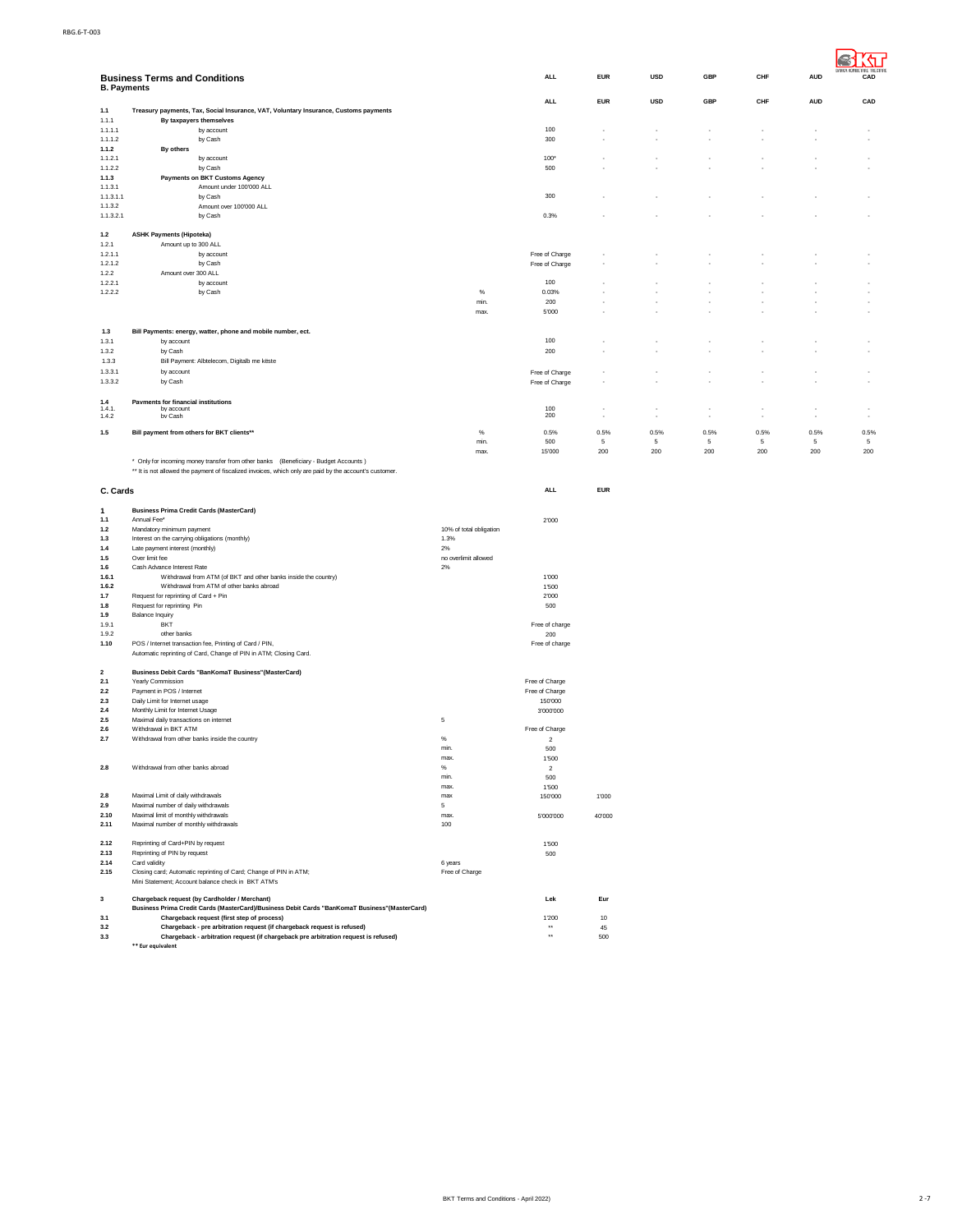| <b>B. Payments</b>      | <b>Business Terms and Conditions</b>                                                                                                                                                           |                                 | <b>ALL</b>                       | <b>EUR</b> | <b>USD</b> | GBP         | CHF             | <b>AUD</b>  | CAD             |
|-------------------------|------------------------------------------------------------------------------------------------------------------------------------------------------------------------------------------------|---------------------------------|----------------------------------|------------|------------|-------------|-----------------|-------------|-----------------|
| 1.1                     | Treasury payments, Tax, Social Insurance, VAT, Voluntary Insurance, Customs payments                                                                                                           |                                 | <b>ALL</b>                       | <b>EUR</b> | <b>USD</b> | GBP         | CHF             | <b>AUD</b>  | CAD             |
| 1.1.1                   | By taxpayers themselves                                                                                                                                                                        |                                 |                                  |            |            |             |                 |             |                 |
| 1.1.1.1<br>1.1.1.2      | by account<br>by Cash                                                                                                                                                                          |                                 | 100<br>300                       |            |            |             |                 |             |                 |
| 1.1.2                   | By others                                                                                                                                                                                      |                                 |                                  |            |            |             |                 |             |                 |
| 1.1.2.1                 | by account                                                                                                                                                                                     |                                 | 100*                             |            |            |             |                 |             |                 |
| 1.1.2.2                 | by Cash<br><b>Payments on BKT Customs Agency</b>                                                                                                                                               |                                 | 500                              |            |            |             |                 |             |                 |
| 1.1.3<br>1.1.3.1        | Amount under 100'000 ALL                                                                                                                                                                       |                                 |                                  |            |            |             |                 |             |                 |
| 1.1.3.1.1               | by Cash                                                                                                                                                                                        |                                 | 300                              |            |            |             |                 |             |                 |
| 1.1.3.2                 | Amount over 100'000 ALL                                                                                                                                                                        |                                 |                                  |            |            |             |                 |             |                 |
| 1.1.3.2.1               | by Cash                                                                                                                                                                                        |                                 | 0.3%                             |            |            |             |                 |             |                 |
| $1.2$                   | <b>ASHK Payments (Hipoteka)</b>                                                                                                                                                                |                                 |                                  |            |            |             |                 |             |                 |
| 1.2.1<br>1.2.1.1        | Amount up to 300 ALL<br>by account                                                                                                                                                             |                                 | Free of Charge                   |            |            |             |                 |             |                 |
| 1.2.1.2                 | by Cash                                                                                                                                                                                        |                                 | Free of Charge                   |            |            |             |                 |             |                 |
| 1.2.2                   | Amount over 300 ALL                                                                                                                                                                            |                                 |                                  |            |            |             |                 |             |                 |
| 1.2.2.1<br>1.2.2.2      | by account<br>by Cash                                                                                                                                                                          | %                               | 100<br>0.03%                     |            |            |             |                 |             |                 |
|                         |                                                                                                                                                                                                | min.                            | 200                              |            |            |             |                 |             |                 |
|                         |                                                                                                                                                                                                | max.                            | 5'000                            |            |            |             |                 |             |                 |
| 1.3                     | Bill Payments: energy, watter, phone and mobile number, ect.                                                                                                                                   |                                 |                                  |            |            |             |                 |             |                 |
| 1.3.1                   | by account                                                                                                                                                                                     |                                 | 100                              |            |            |             |                 |             |                 |
| 1.3.2                   | by Cash                                                                                                                                                                                        |                                 | 200                              |            |            |             |                 |             |                 |
| 1.3.3                   | Bill Payment: Albtelecom, Digitalb me këste                                                                                                                                                    |                                 |                                  |            |            |             |                 |             |                 |
| 1.3.3.1<br>1.3.3.2      | by account<br>by Cash                                                                                                                                                                          |                                 | Free of Charge                   |            |            |             |                 |             |                 |
|                         |                                                                                                                                                                                                |                                 | Free of Charge                   |            |            |             |                 |             |                 |
| 1.4                     | <b>Pavments for financial institutions</b>                                                                                                                                                     |                                 |                                  |            |            |             |                 |             |                 |
| 1.4.1<br>1.4.2          | by account<br>hv Cash                                                                                                                                                                          |                                 | 100<br>200                       |            |            |             |                 |             |                 |
| $1.5$                   | Bill payment from others for BKT clients**                                                                                                                                                     | $\%$                            | 0.5%                             | 0.5%       | 0.5%       | 0.5%        | 0.5%            | 0.5%        | 0.5%            |
|                         |                                                                                                                                                                                                | min.                            | 500                              | 5          | 5          | $\,$ 5 $\,$ | $5\phantom{.0}$ | $\,$ 5 $\,$ | $5\phantom{.0}$ |
|                         |                                                                                                                                                                                                | max.                            | 15'000                           | 200        | 200        | 200         | 200             | 200         | 200             |
|                         | * Only for incoming money transfer from other banks (Beneficiary - Budget Accounts)<br>** It is not allowed the payment of fiscalized invoices, which only are paid by the account's customer. |                                 |                                  |            |            |             |                 |             |                 |
|                         |                                                                                                                                                                                                |                                 |                                  |            |            |             |                 |             |                 |
| C. Cards                |                                                                                                                                                                                                |                                 | <b>ALL</b>                       | <b>EUR</b> |            |             |                 |             |                 |
| 1                       | <b>Business Prima Credit Cards (MasterCard)</b>                                                                                                                                                |                                 |                                  |            |            |             |                 |             |                 |
| 1.1                     | Annual Fee*                                                                                                                                                                                    |                                 | 2'000                            |            |            |             |                 |             |                 |
| 1.2                     | Mandatory minimum payment                                                                                                                                                                      | 10% of total obligation<br>1.3% |                                  |            |            |             |                 |             |                 |
| 1.3<br>1.4              | Interest on the carrying obligations (monthly)<br>Late payment interest (monthly)                                                                                                              | 2%                              |                                  |            |            |             |                 |             |                 |
| $1.5$                   | Over limit fee                                                                                                                                                                                 | no overlimit allowed            |                                  |            |            |             |                 |             |                 |
| $1.6$<br>1.6.1          | Cash Advance Interest Rate<br>Withdrawal from ATM (of BKT and other banks inside the country)                                                                                                  | 2%                              | 1'000                            |            |            |             |                 |             |                 |
| 1.6.2                   | Withdrawal from ATM of other banks abroad                                                                                                                                                      |                                 | 1'500                            |            |            |             |                 |             |                 |
| 1.7                     | Request for reprinting of Card + Pin                                                                                                                                                           |                                 | 2'000                            |            |            |             |                 |             |                 |
| $1.8$<br>1.9            | Request for reprinting Pin<br><b>Balance Inquiry</b>                                                                                                                                           |                                 | 500                              |            |            |             |                 |             |                 |
| 1.9.1                   | <b>BKT</b>                                                                                                                                                                                     |                                 | Free of charge                   |            |            |             |                 |             |                 |
| 1.9.2                   | other banks                                                                                                                                                                                    |                                 | 200                              |            |            |             |                 |             |                 |
| 1.10                    | POS / Internet transaction fee, Printing of Card / PIN,<br>Automatic reprinting of Card, Change of PIN in ATM; Closing Card.                                                                   |                                 | Free of charge                   |            |            |             |                 |             |                 |
|                         |                                                                                                                                                                                                |                                 |                                  |            |            |             |                 |             |                 |
| $\overline{\mathbf{2}}$ | Business Debit Cards "BanKomaT Business" (MasterCard)                                                                                                                                          |                                 |                                  |            |            |             |                 |             |                 |
| 2.1<br>2.2              | Yearly Commission<br>Payment in POS / Internet                                                                                                                                                 |                                 | Free of Charge<br>Free of Charge |            |            |             |                 |             |                 |
| 2.3                     | Daily Limit for Internet usage                                                                                                                                                                 |                                 | 150'000                          |            |            |             |                 |             |                 |
| 2.4                     | Monthly Limit for Internet Usage                                                                                                                                                               |                                 | 3'000'000                        |            |            |             |                 |             |                 |
| 2.5<br>2.6              | Maximal daily transactions on internet<br>Withdrawal in BKT ATM                                                                                                                                | $\,$ 5 $\,$                     | Free of Charge                   |            |            |             |                 |             |                 |
| 2.7                     | Withdrawal from other banks inside the country                                                                                                                                                 | $\%$                            | $\boldsymbol{2}$                 |            |            |             |                 |             |                 |
|                         |                                                                                                                                                                                                | min.<br>max.                    | 500                              |            |            |             |                 |             |                 |
| 2.8                     | Withdrawal from other banks abroad                                                                                                                                                             | %                               | 1'500<br>$\overline{2}$          |            |            |             |                 |             |                 |
|                         |                                                                                                                                                                                                | min.                            | 500                              |            |            |             |                 |             |                 |
| 2.8                     | Maximal Limit of daily withdrawals                                                                                                                                                             | max.                            | 1'500                            |            |            |             |                 |             |                 |
| 2.9                     | Maximal number of daily withdrawals                                                                                                                                                            | max<br>5                        | 150'000                          | 1'000      |            |             |                 |             |                 |
| 2.10                    | Maximal limit of monthly withdrawals                                                                                                                                                           | max.                            | 5'000'000                        | 40'000     |            |             |                 |             |                 |
| 2.11                    | Maximal number of monthly withdrawals                                                                                                                                                          | 100                             |                                  |            |            |             |                 |             |                 |
| 2.12                    | Reprinting of Card+PIN by request                                                                                                                                                              |                                 | 1'500                            |            |            |             |                 |             |                 |
| 2.13                    | Reprinting of PIN by request                                                                                                                                                                   |                                 | 500                              |            |            |             |                 |             |                 |
| 2.14<br>2.15            | Card validity<br>Closing card; Automatic reprinting of Card; Change of PIN in ATM;                                                                                                             | 6 years<br>Free of Charge       |                                  |            |            |             |                 |             |                 |
|                         | Mini Statement; Account balance check in BKT ATM's                                                                                                                                             |                                 |                                  |            |            |             |                 |             |                 |
|                         |                                                                                                                                                                                                |                                 |                                  |            |            |             |                 |             |                 |
| 3                       | Chargeback request (by Cardholder / Merchant)<br>Business Prima Credit Cards (MasterCard)/Business Debit Cards "BanKomaT Business"(MasterCard)                                                 |                                 | Lek                              | Eur        |            |             |                 |             |                 |
| 3.1                     | Chargeback request (first step of process)                                                                                                                                                     |                                 | 1'200                            | 10         |            |             |                 |             |                 |
| 3.2<br>3.3              | Chargeback - pre arbitration request (if chargeback request is refused)                                                                                                                        |                                 | $\star\star$<br>$\star\star$     | 45         |            |             |                 |             |                 |
|                         | Chargeback - arbitration request (if chargeback pre arbitration request is refused)<br>** Eur equivalent                                                                                       |                                 |                                  | 500        |            |             |                 |             |                 |
|                         |                                                                                                                                                                                                |                                 |                                  |            |            |             |                 |             |                 |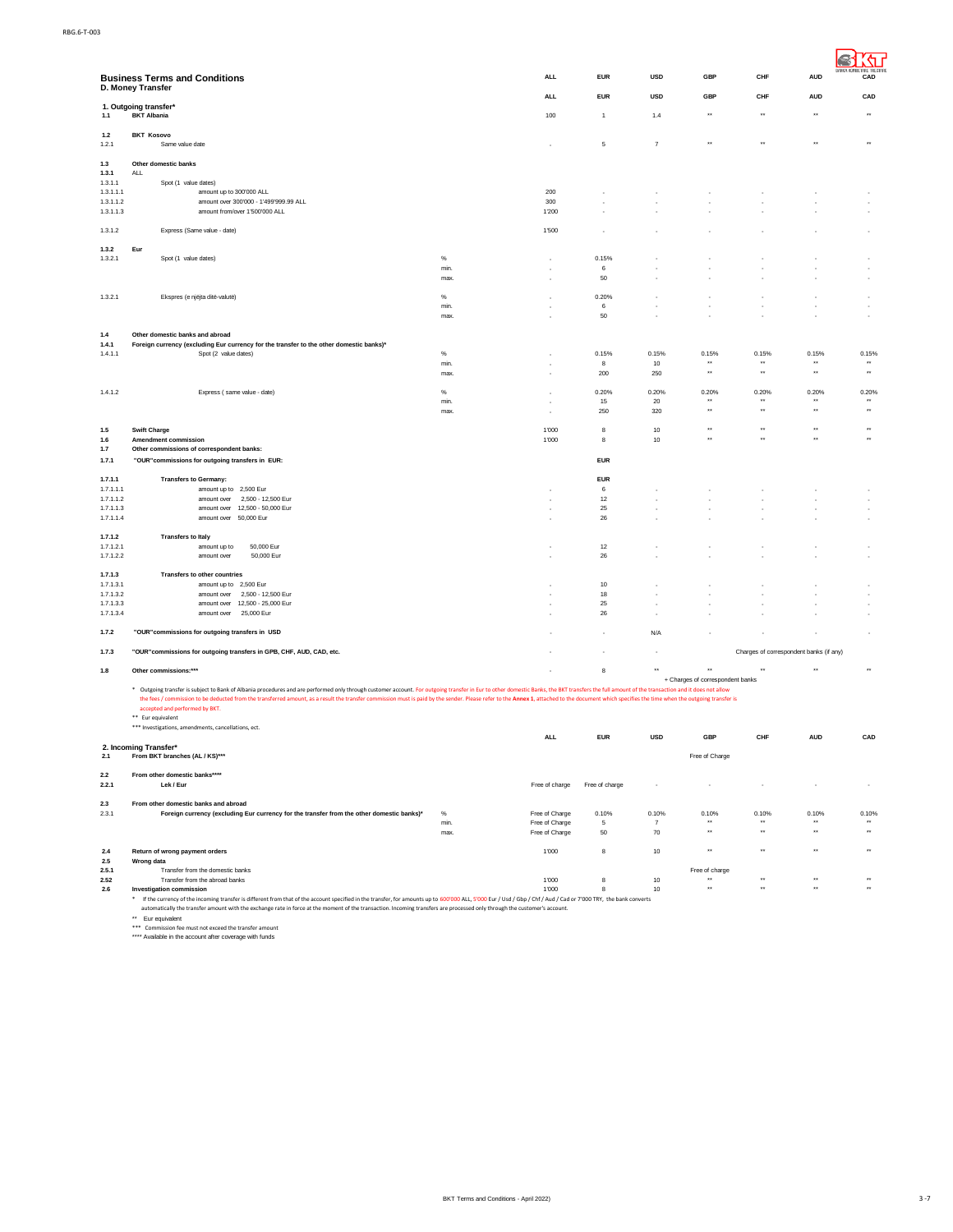|                        | <b>Business Terms and Conditions</b>                                                                                                                                                                                                                                                  |              | <b>ALL</b>                       | <b>EUR</b>     | <b>USD</b>              | <b>GBP</b>                       | CHF                                     | <b>AUD</b>                           | CAD                                          |
|------------------------|---------------------------------------------------------------------------------------------------------------------------------------------------------------------------------------------------------------------------------------------------------------------------------------|--------------|----------------------------------|----------------|-------------------------|----------------------------------|-----------------------------------------|--------------------------------------|----------------------------------------------|
|                        | D. Money Transfer                                                                                                                                                                                                                                                                     |              | <b>ALL</b>                       | <b>EUR</b>     | <b>USD</b>              | GBP                              | CHF                                     | <b>AUD</b>                           | CAD                                          |
| 1.1                    | 1. Outgoing transfer*<br><b>BKT Albania</b>                                                                                                                                                                                                                                           |              | 100                              | $\overline{1}$ | 1.4                     | $\star\star$                     | $\star\star$                            | $\star\star$                         | $\ddot{}$                                    |
| 1.2<br>1.2.1           | <b>BKT Kosovo</b><br>Same value date                                                                                                                                                                                                                                                  |              |                                  | 5              | $\overline{7}$          |                                  |                                         | $\star\star$                         | $\ddot{\phantom{1}}$                         |
| 1.3                    | Other domestic banks                                                                                                                                                                                                                                                                  |              |                                  |                |                         |                                  |                                         |                                      |                                              |
| 1.3.1<br>1.3.1.1       | ALL<br>Spot (1 value dates)                                                                                                                                                                                                                                                           |              |                                  |                |                         |                                  |                                         |                                      |                                              |
| 1.3.1.1.1              | amount up to 300'000 ALL                                                                                                                                                                                                                                                              |              | 200                              |                |                         |                                  |                                         |                                      |                                              |
| 1.3.1.1.2<br>1.3.1.1.3 | amount over 300'000 - 1'499'999.99 ALL<br>amount from/over 1'500'000 ALL                                                                                                                                                                                                              |              | 300<br>1'200                     |                |                         |                                  |                                         |                                      |                                              |
| 1.3.1.2                | Express (Same value - date)                                                                                                                                                                                                                                                           |              | 1'500                            |                |                         |                                  |                                         |                                      |                                              |
| 1.3.2<br>1.3.2.1       | Eur<br>Spot (1 value dates)                                                                                                                                                                                                                                                           | %            |                                  | 0.15%          |                         |                                  |                                         |                                      |                                              |
|                        |                                                                                                                                                                                                                                                                                       | min.<br>max. |                                  | 6<br>50        |                         |                                  |                                         |                                      |                                              |
|                        |                                                                                                                                                                                                                                                                                       |              |                                  |                |                         |                                  |                                         |                                      |                                              |
| 1.3.2.1                | Ekspres (e njëjta ditë-valutë)                                                                                                                                                                                                                                                        | $\%$<br>min. |                                  | 0.20%<br>6     |                         |                                  |                                         |                                      |                                              |
|                        |                                                                                                                                                                                                                                                                                       | max.         |                                  | 50             |                         |                                  |                                         |                                      |                                              |
| 1.4                    | Other domestic banks and abroad                                                                                                                                                                                                                                                       |              |                                  |                |                         |                                  |                                         |                                      |                                              |
| 1.4.1<br>1.4.1.1       | Foreign currency (excluding Eur currency for the transfer to the other domestic banks)*<br>Spot (2 value dates)                                                                                                                                                                       | %            |                                  | 0.15%          | 0.15%                   | 0.15%                            | 0.15%                                   | 0.15%                                | 0.15%                                        |
|                        |                                                                                                                                                                                                                                                                                       | min.<br>max  |                                  | 8<br>200       | 10<br>250               | $\star\star$<br>$^{\star\star}$  | $\star\star$<br>$\star\star$            | $\star\star$<br>$\star\star$         | $\bullet\,\bullet$<br>$\star\star$           |
|                        |                                                                                                                                                                                                                                                                                       |              |                                  |                |                         |                                  |                                         |                                      |                                              |
| 1.4.1.2                | Express (same value - date)                                                                                                                                                                                                                                                           | %<br>min.    |                                  | 0.20%<br>15    | 0.20%<br>20             | 0.20%<br>$\star\star$            | 0.20%<br>$\star\star$                   | 0.20%<br>$\star\star$                | 0.20%<br>$\star\star$                        |
|                        |                                                                                                                                                                                                                                                                                       | max.         |                                  | 250            | 320                     | $\star\star$                     | $\star\star$                            | $\star\star$                         | $\star\star$                                 |
| 1.5                    | <b>Swift Charge</b>                                                                                                                                                                                                                                                                   |              | 1'000                            | 8              | $10$                    | $\star\star$                     | $\star\star$                            | $\star\star$                         | $\bullet\,\bullet$                           |
| 1.6<br>1.7             | Amendment commission<br>Other commissions of correspondent banks:                                                                                                                                                                                                                     |              | 1'000                            | 8              | $10$                    | $\star\star$                     | $\star\star$                            | $\star\star$                         | $\bullet\,\bullet$                           |
| 1.7.1                  | "OUR" commissions for outgoing transfers in EUR:                                                                                                                                                                                                                                      |              |                                  | <b>EUR</b>     |                         |                                  |                                         |                                      |                                              |
| 1.7.1.1                | <b>Transfers to Germany:</b>                                                                                                                                                                                                                                                          |              |                                  | <b>EUR</b>     |                         |                                  |                                         |                                      |                                              |
| 1.7.1.1.1<br>1.7.1.1.2 | amount up to 2,500 Eur<br>2.500 - 12.500 Eur<br>amount over                                                                                                                                                                                                                           |              |                                  | 6<br>12        |                         |                                  |                                         |                                      |                                              |
| 1.7.1.1.3              | 12,500 - 50,000 Eur<br>amount over                                                                                                                                                                                                                                                    |              |                                  | 25             |                         |                                  |                                         |                                      |                                              |
| 1.7.1.1.4              | amount over 50,000 Eur                                                                                                                                                                                                                                                                |              |                                  | 26             |                         |                                  |                                         |                                      |                                              |
| 1.7.1.2                | <b>Transfers to Italy</b><br>50,000 Eur                                                                                                                                                                                                                                               |              |                                  | 12             |                         |                                  |                                         |                                      |                                              |
| 1.7.1.2.1<br>1.7.1.2.2 | amount up to<br>amount over<br>50,000 Eur                                                                                                                                                                                                                                             |              |                                  | 26             |                         |                                  |                                         |                                      |                                              |
| 1.7.1.3                | Transfers to other countries                                                                                                                                                                                                                                                          |              |                                  |                |                         |                                  |                                         |                                      |                                              |
| 1.7.1.3.1<br>1.7.1.3.2 | amount up to 2,500 Eur<br>amount over<br>2,500 - 12,500 Eur                                                                                                                                                                                                                           |              |                                  | 10<br>18       |                         |                                  |                                         |                                      |                                              |
| 1.7.1.3.3              | 12,500 - 25,000 Eur<br>amount over                                                                                                                                                                                                                                                    |              |                                  | 25             |                         |                                  |                                         |                                      |                                              |
| 1.7.1.3.4              | 25,000 Eur<br>amount over                                                                                                                                                                                                                                                             |              |                                  | 26             |                         |                                  |                                         |                                      |                                              |
| 1.7.2                  | "OUR" commissions for outgoing transfers in USD                                                                                                                                                                                                                                       |              |                                  |                | N/A                     |                                  |                                         |                                      |                                              |
| 1.7.3                  | "OUR" commissions for outgoing transfers in GPB, CHF, AUD, CAD, etc.                                                                                                                                                                                                                  |              |                                  |                |                         |                                  | Charges of correspondent banks (if any) |                                      |                                              |
| $1.8\,$                | Other commissions:***                                                                                                                                                                                                                                                                 |              |                                  | 8              | $\star\star$            | $\star\star$                     | $\star\star$                            | $\bullet\star$                       | $\bullet\,\bullet$                           |
|                        | Outgoing transfer is subject to Bank of Albania procedures and are performed only through customer account. For outgoing transfer in Eur to other domestic Banks, the BKT transfers the full amount of the transaction and it                                                         |              |                                  |                |                         | + Charges of correspondent banks |                                         |                                      |                                              |
|                        | the fees / commission to be deducted from the transferred amount, as a result the transfer commission must is paid by the sender. Please refer to the Annex 1, attached to the document which specifies the time when the outg<br>accepted and performed by BKT.<br>** Eur equivalent |              |                                  |                |                         |                                  |                                         |                                      |                                              |
|                        | *** Investigations, amendments, cancellations, ect.                                                                                                                                                                                                                                   |              | <b>ALL</b>                       | <b>EUR</b>     | <b>USD</b>              | <b>GBP</b>                       | CHF                                     | <b>AUD</b>                           | CAD                                          |
| 2.1                    | 2. Incoming Transfer*<br>From BKT branches (AL / KS)***                                                                                                                                                                                                                               |              |                                  |                |                         | Free of Charge                   |                                         |                                      |                                              |
| 2.2                    | From other domestic banks****                                                                                                                                                                                                                                                         |              |                                  |                |                         |                                  |                                         |                                      |                                              |
| 2.2.1                  | Lek / Eur                                                                                                                                                                                                                                                                             |              | Free of charge                   | Free of charge |                         |                                  |                                         |                                      |                                              |
| $2.3\,$                | From other domestic banks and abroad                                                                                                                                                                                                                                                  |              |                                  |                |                         |                                  |                                         |                                      |                                              |
| 2.3.1                  | Foreign currency (excluding Eur currency for the transfer from the other domestic banks)*                                                                                                                                                                                             | $\%$<br>min. | Free of Charge<br>Free of Charge | 0.10%<br>5     | 0.10%<br>$\overline{7}$ | 0.10%<br>$\star\star$            | 0.10%<br>$\star\star$                   | 0.10%<br>$\ddot{\phantom{1}}$        | 0.10%<br>$\ddot{\phantom{1}}$                |
|                        |                                                                                                                                                                                                                                                                                       | max.         | Free of Charge                   | 50             | 70                      | $\star\star$                     | $\ddot{\phantom{1}}$                    | $\ddot{\phantom{1}}$                 | $\ddot{\phantom{1}}$                         |
| 2.4                    | Return of wrong payment orders                                                                                                                                                                                                                                                        |              | 1'000                            | 8              | 10                      | $\ddot{\phantom{0}}$             | $\ddot{\phantom{0}}$                    | $\ddot{\phantom{0}}$                 | $\ddot{\phantom{0}}$                         |
| 2.5<br>2.5.1           | <b>Wrong data</b><br>Transfer from the domestic banks                                                                                                                                                                                                                                 |              |                                  |                |                         | Free of charge                   |                                         |                                      |                                              |
| 2.52<br>2.6            | Transfer from the abroad banks<br>Investigation commission                                                                                                                                                                                                                            |              | 1'000<br>1'000                   | 8<br>8         | 10<br>10                | $\star\star$<br>$\star\star$     | $\star\star$<br>$\star\star$            | $\star\star$<br>$\ddot{\phantom{1}}$ | $\ddot{\phantom{1}}$<br>$\ddot{\phantom{1}}$ |
|                        | If the currency of the incoming transfer is different from that of the account specified in the transfer, for amounts up to 600'000 ALL, 5'000 Eur / Usd / Gbp / Chf / Aud / Cad or 7'000 TRY, the bank converts<br>$\ast$                                                            |              |                                  |                |                         |                                  |                                         |                                      |                                              |
|                        | automatically the transfer amount with the exchange rate in force at the moment of the transaction. Incoming transfers are processed only through the customer's account.<br>** Eur equivalent                                                                                        |              |                                  |                |                         |                                  |                                         |                                      |                                              |
|                        | *** Commission fee must not exceed the transfer amount<br>**** Available in the account after coverage with funds                                                                                                                                                                     |              |                                  |                |                         |                                  |                                         |                                      |                                              |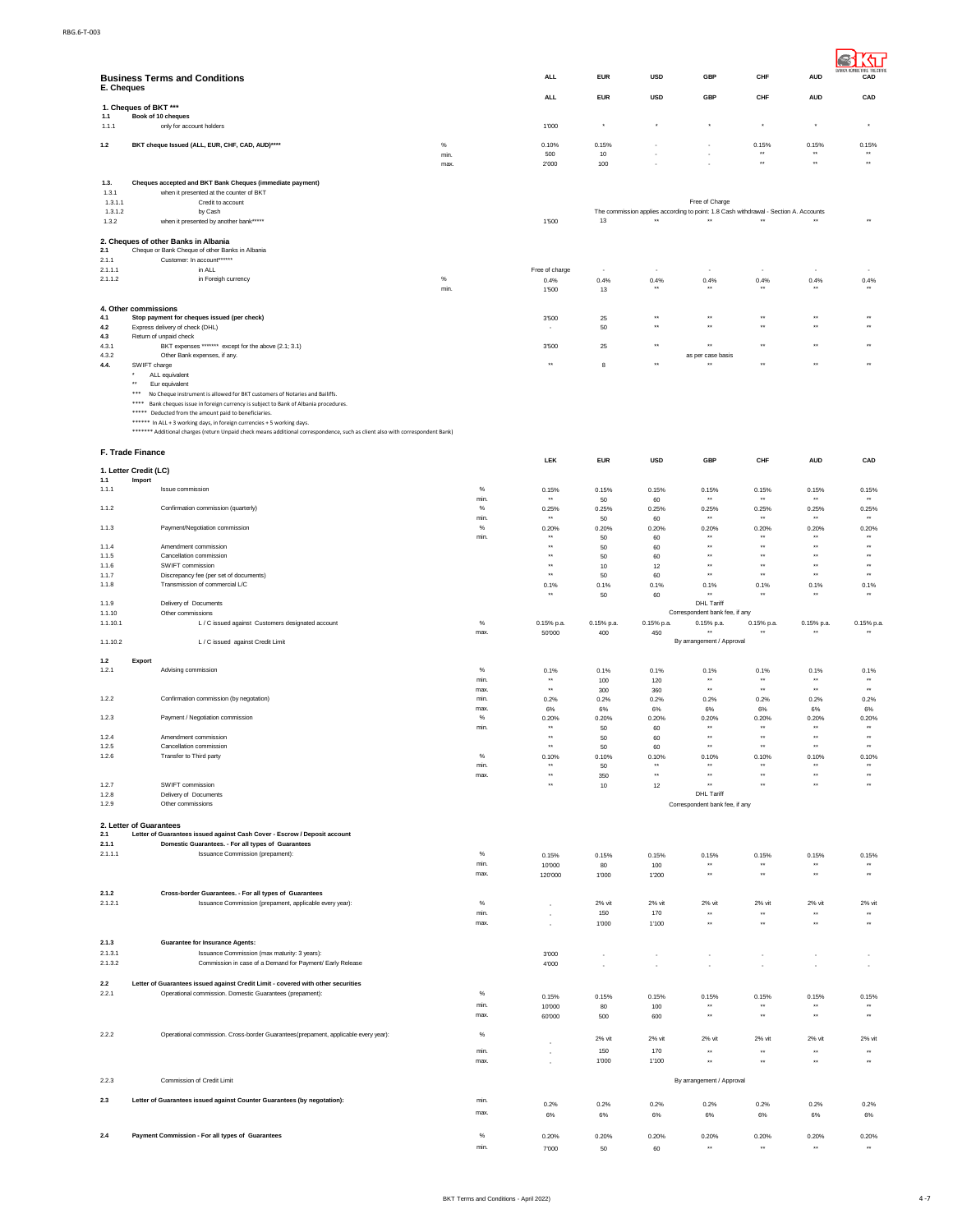| E. Cheques         | <b>Business Terms and Conditions</b>                                                                                                                                    |              | <b>ALL</b>                      | <b>EUR</b>        | <b>USD</b>                   | GBP                                                                                                    | CHF                                  | <b>AUD</b>                           | CAD                                              |
|--------------------|-------------------------------------------------------------------------------------------------------------------------------------------------------------------------|--------------|---------------------------------|-------------------|------------------------------|--------------------------------------------------------------------------------------------------------|--------------------------------------|--------------------------------------|--------------------------------------------------|
| 1.1                | 1. Cheques of BKT ***<br>Book of 10 cheques                                                                                                                             |              | ALL                             | <b>EUR</b>        | <b>USD</b>                   | GBP                                                                                                    | CHF                                  | <b>AUD</b>                           | CAD                                              |
| 1.1.1              | only for account holders                                                                                                                                                |              | 1'000                           | $^\star$          | $^\star$                     | $^\star$                                                                                               | $^\star$                             | $^\star$                             | $^\star$                                         |
| 1.2                | BKT cheque Issued (ALL, EUR, CHF, CAD, AUD)****                                                                                                                         | $\%$         | 0.10%                           | 0.15%             |                              |                                                                                                        | 0.15%<br>$\star\star$                | 0.15%<br>$\star\star$                | 0.15%<br>$\star\star$                            |
|                    |                                                                                                                                                                         | min.<br>max. | 500<br>2'000                    | $10$<br>100       |                              |                                                                                                        | $\star\star$                         | $\ddot{\phantom{1}}$                 | $\ddot{\phantom{1}}$                             |
| 1.3.<br>1.3.1      | Cheques accepted and BKT Bank Cheques (immediate payment)<br>when it presented at the counter of BKT                                                                    |              |                                 |                   |                              |                                                                                                        |                                      |                                      |                                                  |
| 1.3.1.1<br>1.3.1.2 | Credit to account<br>by Cash                                                                                                                                            |              |                                 |                   |                              | Free of Charge<br>The commission applies according to point: 1.8 Cash withdrawal - Section A. Accounts |                                      |                                      |                                                  |
| 1.3.2              | when it presented by another bank*****                                                                                                                                  |              | 1'500                           | 13                | $\star\star$                 | $\star\star$                                                                                           | $\star\star$                         |                                      | $\ddot{\phantom{1}}$                             |
| 2.1                | 2. Cheques of other Banks in Albania<br>Cheque or Bank Cheque of other Banks in Albania<br>Customer: In account******                                                   |              |                                 |                   |                              |                                                                                                        |                                      |                                      |                                                  |
| 2.1.1<br>2.1.1.1   | in ALL                                                                                                                                                                  |              | Free of charge                  |                   |                              |                                                                                                        |                                      |                                      |                                                  |
| 2.1.1.2            | in Foreigh currency                                                                                                                                                     | $\%$<br>min. | 0.4%<br>1'500                   | 0.4%<br>13        | 0.4%                         | 0.4%                                                                                                   | 0.4%                                 | 0.4%                                 | 0.4%                                             |
|                    | 4. Other commissions                                                                                                                                                    |              |                                 |                   |                              |                                                                                                        |                                      |                                      |                                                  |
| 4.1<br>4.2         | Stop payment for cheques issued (per check)<br>Express delivery of check (DHL)                                                                                          |              | 3'500                           | 25<br>50          | $\star\star$<br>$\star\star$ | $\star\star$<br>$\star\star$                                                                           | $\star\star$<br>$\star\star$         | $\star\star$<br>$\star\star$         | $\ddot{}$<br>$\ddot{\phantom{1}}$                |
| 4.3                | Return of unpaid check                                                                                                                                                  |              | ٠                               |                   |                              |                                                                                                        |                                      |                                      |                                                  |
| 4.3.1<br>4.3.2     | BKT expenses ******* except for the above (2.1; 3.1)<br>Other Bank expenses, if any.                                                                                    |              | 3'500                           | 25                | ÷                            | ×<br>as per case basis                                                                                 |                                      | $\ddot{\phantom{0}}$                 |                                                  |
| 4.4.               | SWIFT charge<br>ALL equivalent                                                                                                                                          |              | $\star\star$                    | 8                 | $\star$                      | $\star\star$                                                                                           |                                      |                                      | $\ddot{\phantom{1}}$                             |
|                    | $\star\star$<br>Eur equivalent<br>***                                                                                                                                   |              |                                 |                   |                              |                                                                                                        |                                      |                                      |                                                  |
|                    | No Cheque instrument is allowed for BKT customers of Notaries and Bailiffs.<br>****<br>Bank cheques issue in foreign currency is subject to Bank of Albania procedures. |              |                                 |                   |                              |                                                                                                        |                                      |                                      |                                                  |
|                    | ***** Deducted from the amount paid to beneficiaries.<br>****** In ALL + 3 working days, in foreign currencies + 5 working days.                                        |              |                                 |                   |                              |                                                                                                        |                                      |                                      |                                                  |
|                    | ******* Additional charges (return Unpaid check means additional correspondence, such as client also with correspondent Bank)                                           |              |                                 |                   |                              |                                                                                                        |                                      |                                      |                                                  |
|                    | F. Trade Finance                                                                                                                                                        |              |                                 |                   |                              |                                                                                                        |                                      |                                      |                                                  |
|                    | 1. Letter Credit (LC)                                                                                                                                                   |              | LEK                             | <b>EUR</b>        | <b>USD</b>                   | <b>GBP</b>                                                                                             | CHF                                  | <b>AUD</b>                           | CAD                                              |
| 1.1<br>1.1.1       | Import<br>Issue commission                                                                                                                                              | $\%$         | 0.15%                           | 0.15%             | 0.15%                        | 0.15%                                                                                                  | 0.15%                                | 0.15%                                | 0.15%                                            |
|                    |                                                                                                                                                                         | min.         | $\star$                         | 50                | 60                           |                                                                                                        | $\ddot{\phantom{1}}$                 |                                      | $\ddot{\phantom{1}}$                             |
| 1.1.2              | Confirmation commission (quarterly)                                                                                                                                     | $\%$<br>min. | 0.25%                           | 0.25%<br>50       | 0.25%<br>60                  | 0.25%                                                                                                  | 0.25%                                | 0.25%                                | 0.25%                                            |
| 1.1.3              | Payment/Negotiation commission                                                                                                                                          | $\%$<br>min. | 0.20%                           | 0.20%<br>50       | 0.20%<br>60                  | 0.20%                                                                                                  | 0.20%                                | 0.20%                                | 0.20%                                            |
| 1.1.4<br>1.1.5     | Amendment commission<br>Cancellation commission                                                                                                                         |              | $^{\star\star}$<br>$\star\star$ | 50                | 60                           | $\star\star$<br>$\star\star$                                                                           | $\star\star$<br>$\star\star$         | $\star\star$<br>$\star\star$         | $\ddot{\phantom{0}}$<br>$\ddot{\phantom{1}}$     |
| 1.1.6              | SWIFT commission                                                                                                                                                        |              | $\star\star$                    | 50<br>10          | 60<br>12                     | $\star\star$                                                                                           | $\star\star$                         | $\star\star$                         | $\star\star$                                     |
| 1.1.7<br>1.1.8     | Discrepancy fee (per set of documents)<br>Transmission of commercial L/C                                                                                                |              | $\star$<br>0.1%                 | 50<br>0.1%        | 60<br>0.1%                   | $\star\star$<br>0.1%                                                                                   | $\star\star$<br>0.1%                 | $\star\star$<br>0.1%                 | $\ddot{\phantom{1}}$<br>0.1%                     |
| 1.1.9              | Delivery of Documents                                                                                                                                                   |              | $\star$                         | 50                | 60                           | $\star\star$<br>DHL Tariff                                                                             | $\ddot{\phantom{1}}$                 | $\star\star$                         | $\ddot{\phantom{1}}$                             |
| 1.1.10             | Other commissions                                                                                                                                                       |              |                                 |                   |                              | Correspondent bank fee, if any                                                                         |                                      |                                      |                                                  |
| 1.1.10.1           | L / C issued against Customers designated account                                                                                                                       | $\%$<br>max. | 0.15% p.a.<br>50'000            | 0.15% p.a.<br>400 | 0.15% p.a.<br>450            | 0.15% p.a.<br>$\star$                                                                                  | 0.15% p.a.<br>٠.                     | 0.15% p.a.<br>$\ddot{\phantom{1}}$   | 0.15% p.a.                                       |
| 1.1.10.2           | L / C issued against Credit Limit                                                                                                                                       |              |                                 |                   |                              | By arrangement / Approval                                                                              |                                      |                                      |                                                  |
| 1.2<br>1.2.1       | Export<br>Advising commission                                                                                                                                           | %            | 0.1%                            | 0.1%              | 0.1%                         | 0.1%                                                                                                   | 0.1%                                 | 0.1%                                 | 0.1%                                             |
|                    |                                                                                                                                                                         | min.         | $\ddot{\phantom{1}}$            | 100               | 120                          | $\star\star$                                                                                           | $\star\star$                         | $\rightarrow$                        | $\bullet\bullet$                                 |
| 1.2.2              | Confirmation commission (by negotation)                                                                                                                                 | max.<br>min. | $\star\star$<br>0.2%            | 300<br>0.2%       | 360<br>0.2%                  | $\star\star$<br>0.2%                                                                                   | $\star\star$<br>0.2%                 | $\star\star$<br>0.2%                 | $\star\star$<br>0.2%                             |
| 1.2.3              | Payment / Negotiation commission                                                                                                                                        | max.<br>%    | 6%<br>0.20%                     | 6%<br>0.20%       | 6%<br>0.20%                  | $6\%$<br>0.20%                                                                                         | 6%<br>0.20%                          | 6%<br>0.20%                          | 6%<br>0.20%                                      |
|                    |                                                                                                                                                                         | min.         | $**$<br>$\star$                 | 50                | 60                           | $\star\star$<br>$\star\star$                                                                           | $\star\star$<br>$\ddot{\phantom{0}}$ | $\star\star$<br>$\star\star$         | $\star\star$<br>$\bullet\bullet$                 |
| 1.2.4<br>1.2.5     | Amendment commission<br>Cancellation commission                                                                                                                         |              | $\star\star$                    | 50<br>50          | 60<br>60                     | $\star\star$                                                                                           | $\star\star$                         | $\star\star$                         | $\bullet\bullet$                                 |
| 1.2.6              | Transfer to Third party                                                                                                                                                 | $\%$<br>min. | 0.10%<br>$\star\star$           | 0.10%<br>50       | 0.10%<br>$\star\star$        | 0.10%<br>$\star\star$                                                                                  | 0.10%<br>$\ddot{\phantom{1}}$        | 0.10%<br>$\star\star$                | 0.10%<br>$\star\star$                            |
| 1.2.7              | SWIFT commission                                                                                                                                                        | max.         | $^{\star\star}$<br>$\ddot{x}$   | 350               | $\star\star$                 | $\star\star$<br>$\star\star$                                                                           | $\star\star$<br>$\ddot{\phantom{1}}$ | $\star\star$<br>$\star\star$         | $\scriptstyle\star\star$<br>$\ddot{\phantom{1}}$ |
| 1.2.8              | Delivery of Documents                                                                                                                                                   |              |                                 | 10                | 12                           | <b>DHL Tariff</b>                                                                                      |                                      |                                      |                                                  |
| 1.2.9              | Other commissions                                                                                                                                                       |              |                                 |                   |                              | Correspondent bank fee, if any                                                                         |                                      |                                      |                                                  |
| 2.1                | 2. Letter of Guarantees<br>Letter of Guarantees issued against Cash Cover - Escrow / Deposit account                                                                    |              |                                 |                   |                              |                                                                                                        |                                      |                                      |                                                  |
| 2.1.1              | Domestic Guarantees. - For all types of Guarantees                                                                                                                      |              |                                 |                   |                              |                                                                                                        |                                      |                                      |                                                  |
| 2.1.1.1            | Issuance Commission (prepament):                                                                                                                                        | $\%$<br>min. | 0.15%<br>10'000                 | 0.15%<br>80       | 0.15%<br>100                 | 0.15%<br>$**$                                                                                          | 0.15%<br>$\star\star$                | 0.15%<br>$\star\star$                | 0.15%<br>$\bullet\bullet$                        |
|                    |                                                                                                                                                                         | max.         | 120'000                         | 1'000             | 1'200                        | $\star\star$                                                                                           | $\star\star$                         | $\star\star$                         | $\star\star$                                     |
| 2.1.2              | Cross-border Guarantees. - For all types of Guarantees                                                                                                                  |              |                                 |                   |                              |                                                                                                        |                                      |                                      |                                                  |
| 2.1.2.1            | Issuance Commission (prepament, applicable every year):                                                                                                                 | %<br>min.    | k.                              | 2% vit<br>150     | 2% vit<br>170                | 2% vit<br>$\star\star$                                                                                 | 2% vit<br>$\star\star$               | 2% vit<br>$\star\star$               | 2% vit<br>$\ddot{\phantom{1}}$                   |
|                    |                                                                                                                                                                         | max.         |                                 | 1'000             | 1'100                        | $\star\star$                                                                                           | $\ddot{\phantom{1}}$                 | $\ddot{\phantom{1}}$                 | $\ddot{\phantom{1}}$                             |
| 2.1.3              | <b>Guarantee for Insurance Agents:</b>                                                                                                                                  |              |                                 |                   |                              |                                                                                                        |                                      |                                      |                                                  |
| 2.1.3.1<br>2.1.3.2 | Issuance Commission (max maturity: 3 years):<br>Commission in case of a Demand for Payment/ Early Release                                                               |              | 3'000<br>4'000                  | ٠<br>ä,           | ٠<br>٠                       | ٠<br>٠                                                                                                 | ٠                                    | ٠<br>ä,                              | ٠                                                |
|                    |                                                                                                                                                                         |              |                                 |                   |                              |                                                                                                        |                                      |                                      |                                                  |
| 2.2<br>2.2.1       | Letter of Guarantees issued against Credit Limit - covered with other securities<br>Operational commission. Domestic Guarantees (prepament):                            | $\%$         | 0.15%                           | 0.15%             | 0.15%                        | 0.15%                                                                                                  | 0.15%                                | 0.15%                                | 0.15%                                            |
|                    |                                                                                                                                                                         | min.<br>max. | 10'000                          | 80                | 100                          | $\star\star$                                                                                           | $\star\star$                         | $\star\star$                         | $\ddot{\phantom{1}}$                             |
|                    |                                                                                                                                                                         |              | 60'000                          | 500               | 600                          |                                                                                                        |                                      |                                      |                                                  |
| 2.2.2              | Operational commission. Cross-border Guarantees(prepament, applicable every year):                                                                                      | %            |                                 | 2% vit            | 2% vit                       | 2% vit                                                                                                 | 2% vit                               | 2% vit                               | 2% vit                                           |
|                    |                                                                                                                                                                         | min.<br>max. |                                 | 150<br>1'000      | 170<br>1'100                 | $\star\star$<br>$\star\star$                                                                           | $\star\star$<br>$\star\star$         | $\star\star$<br>$\ddot{\phantom{0}}$ | $\bullet\bullet$<br>$\bullet\bullet$             |
| 2.2.3              | Commission of Credit Limit                                                                                                                                              |              |                                 |                   |                              | By arrangement / Approval                                                                              |                                      |                                      |                                                  |
|                    |                                                                                                                                                                         |              |                                 |                   |                              |                                                                                                        |                                      |                                      |                                                  |
| 2.3                | Letter of Guarantees issued against Counter Guarantees (by negotation):                                                                                                 | min.<br>max. | 0.2%                            | 0.2%              | 0.2%                         | 0.2%                                                                                                   | 0.2%                                 | 0.2%                                 | 0.2%                                             |
|                    |                                                                                                                                                                         |              | 6%                              | 6%                | 6%                           | 6%                                                                                                     | 6%                                   | 6%                                   | 6%                                               |
| 2.4                | Payment Commission - For all types of Guarantees                                                                                                                        | $\%$         | 0.20%                           | 0.20%             | 0.20%                        | 0.20%                                                                                                  | 0.20%                                | 0.20%                                | 0.20%                                            |
|                    |                                                                                                                                                                         | min.         | 7'000                           | 50                | 60                           | $\star\star$                                                                                           | $\star\star$                         | $\star\star$                         | $\star\star$                                     |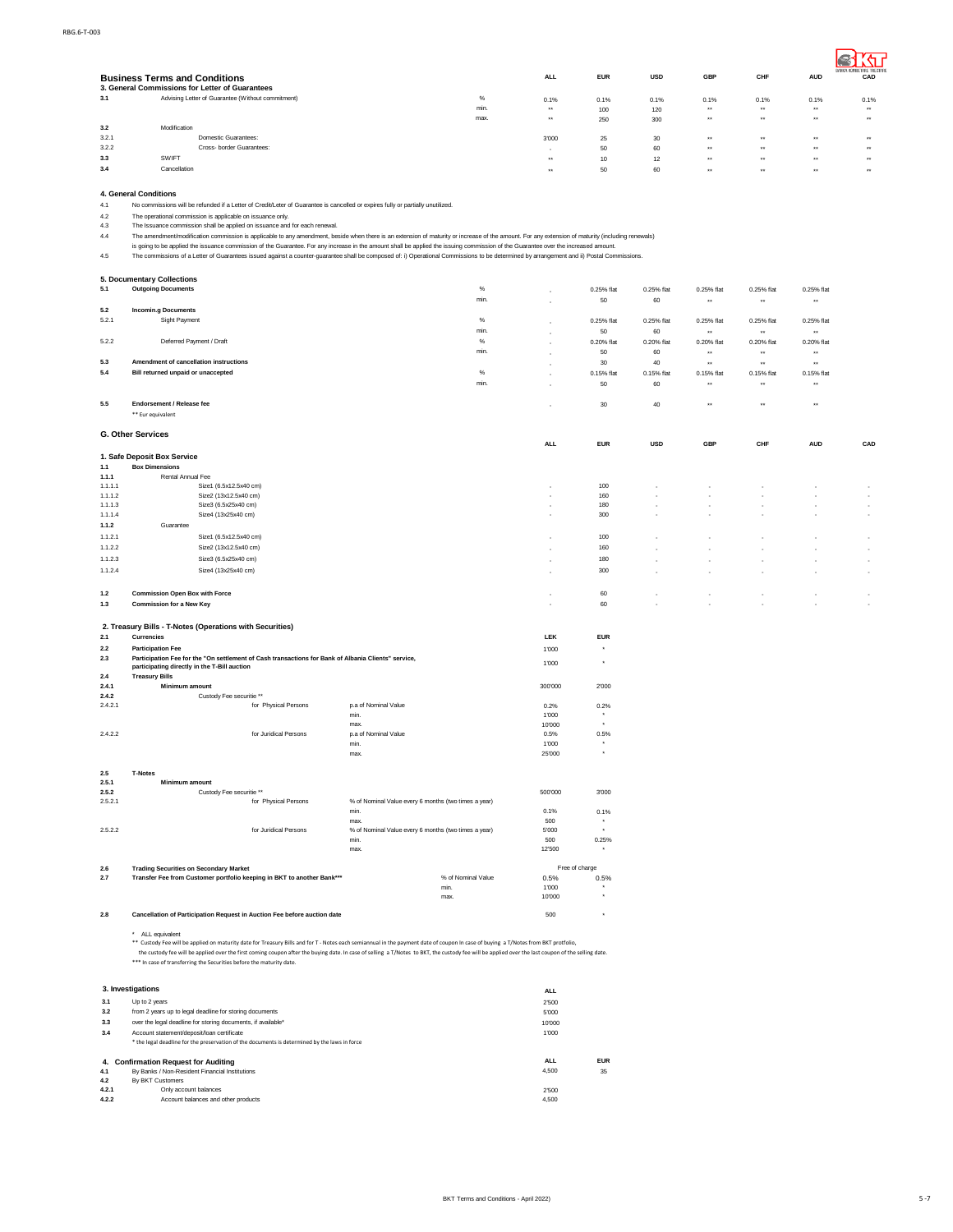|       | <b>Business Terms and Conditions</b><br>3. General Commissions for Letter of Guarantees |      | <b>ALL</b> | <b>EUR</b> | <b>USD</b> | <b>GBP</b>       | CHF              | <b>AUD</b>     | BANKA KOMBETARE TREGIARE<br>CAD |
|-------|-----------------------------------------------------------------------------------------|------|------------|------------|------------|------------------|------------------|----------------|---------------------------------|
| 3.1   | Advising Letter of Guarantee (Without commitment)                                       | $\%$ | 0.1%       | 0.1%       | 0.1%       | 0.1%             | 0.1%             | 0.1%           | 0.1%                            |
|       |                                                                                         | min  | $***$      | 100        | 120        | $\star\star$     | $\bullet\star$   | $\bullet\star$ | $\rightarrow$                   |
|       |                                                                                         | max. | $***$      | 250        | 300        | $\bullet\bullet$ | $\cdots$         | $\cdots$       | $\rightarrow$                   |
| 3.2   | Modification                                                                            |      |            |            |            |                  |                  |                |                                 |
| 3.2.1 | Domestic Guarantees:                                                                    |      | 3'000      | 25         | 30         | $***$            | $\bullet\star$   | $\bullet\star$ | $\cdots$                        |
| 3.2.2 | Cross- border Guarantees:                                                               |      |            | 50         | 60         | $***$            | $\bullet\bullet$ | $\bullet\star$ | $\rightarrow$                   |
| 3.3   | SWIFT                                                                                   |      | $***$      | 10         | 12         | $***$            | $\rightarrow$    | $\cdots$       | $\rightarrow$                   |
| 3.4   | Cancellation                                                                            |      | $+ +$      | 50         | 60         | $\bullet\bullet$ | $\cdots$         | $\cdots$       | $\rightarrow$                   |

**4. General Conditions**

4.1 No commissions will be refunded if a Letter of Credit/Leter of Guarantee is cancelled or expires fully or partially unutilized.<br>4.2 The operational commission is all be applied to it suance only.<br>4.4 The Issuance commi

4.2 The operational commission is applicable on issuance only.<br>4.3 The Issuance commission shall be applied on issuance and for each renewal.<br>4.4 The amendment/modification commission is applicable to any amendment, beside

|                    | 5. Documentary Collections                                                                                                                                                                                                                                                 |                                                      |               |                  |                  |                            |                            |                            |                          |
|--------------------|----------------------------------------------------------------------------------------------------------------------------------------------------------------------------------------------------------------------------------------------------------------------------|------------------------------------------------------|---------------|------------------|------------------|----------------------------|----------------------------|----------------------------|--------------------------|
| 5.1                | <b>Outgoing Documents</b>                                                                                                                                                                                                                                                  | %                                                    |               | 0.25% flat       | 0.25% flat       | 0.25% flat                 | 0.25% flat                 | 0.25% flat                 |                          |
|                    |                                                                                                                                                                                                                                                                            | min.                                                 |               | 50               | 60               | $\star\star$               | $\star\star$               | $\star\star$               |                          |
| 5.2                | <b>Incomin.g Documents</b>                                                                                                                                                                                                                                                 |                                                      |               |                  |                  |                            |                            |                            |                          |
| 5.2.1              | Sight Payment                                                                                                                                                                                                                                                              | $\%$                                                 |               | 0.25% flat       | 0.25% flat       | 0.25% flat                 | 0.25% flat                 | 0.25% flat                 |                          |
|                    |                                                                                                                                                                                                                                                                            | min.                                                 |               | 50               | 60               | $\star\star$               | $\star\star$               | $\star\star$               |                          |
| 5.2.2              | Deferred Payment / Draft                                                                                                                                                                                                                                                   | $\%$                                                 |               | 0.20% flat       | 0.20% flat       | 0.20% flat                 | 0.20% flat                 | 0.20% flat                 |                          |
|                    | Amendment of cancellation instructions                                                                                                                                                                                                                                     | min.                                                 |               | 50               | 60               | $\star\star$               | $\ddot{\phantom{1}}$       | $\star\star$               |                          |
| 5.3                | Bill returned unpaid or unaccepted                                                                                                                                                                                                                                         | %                                                    |               | $30\,$           | 40               | ×                          | $\ddot{\phantom{1}}$       | $\star\star$               |                          |
| 5.4                |                                                                                                                                                                                                                                                                            | min.                                                 |               | 0.15% flat<br>50 | 0.15% flat<br>60 | 0.15% flat<br>$\star\star$ | 0.15% flat<br>$\star\star$ | 0.15% flat<br>$\star\star$ |                          |
|                    |                                                                                                                                                                                                                                                                            |                                                      |               |                  |                  |                            |                            |                            |                          |
| $5.5\,$            | Endorsement / Release fee                                                                                                                                                                                                                                                  |                                                      |               | 30               | 40               | $\star\star$               | $\ddot{\phantom{1}}$       | $\star\star$               |                          |
|                    | ** Eur equivalent                                                                                                                                                                                                                                                          |                                                      |               |                  |                  |                            |                            |                            |                          |
|                    |                                                                                                                                                                                                                                                                            |                                                      |               |                  |                  |                            |                            |                            |                          |
|                    | <b>G. Other Services</b>                                                                                                                                                                                                                                                   |                                                      |               |                  |                  |                            |                            |                            |                          |
|                    |                                                                                                                                                                                                                                                                            |                                                      | ALL           | <b>EUR</b>       | <b>USD</b>       | GBP                        | CHF                        | <b>AUD</b>                 | CAD                      |
|                    | 1. Safe Deposit Box Service                                                                                                                                                                                                                                                |                                                      |               |                  |                  |                            |                            |                            |                          |
| 1.1                | <b>Box Dimensions</b>                                                                                                                                                                                                                                                      |                                                      |               |                  |                  |                            |                            |                            |                          |
| 1.1.1              | Rental Annual Fee<br>Size1 (6.5x12.5x40 cm)                                                                                                                                                                                                                                |                                                      |               |                  |                  |                            |                            |                            |                          |
| 1.1.1.1<br>1.1.1.2 | Size2 (13x12.5x40 cm)                                                                                                                                                                                                                                                      |                                                      |               | 100<br>160       |                  |                            |                            |                            |                          |
| 1.1.1.3            | Size3 (6.5x25x40 cm)                                                                                                                                                                                                                                                       |                                                      | ٠             | 180              |                  |                            |                            |                            | $\overline{\phantom{a}}$ |
| 1.1.1.4            | Size4 (13x25x40 cm)                                                                                                                                                                                                                                                        |                                                      |               | 300              |                  |                            |                            |                            |                          |
| 1.1.2              | Guarantee                                                                                                                                                                                                                                                                  |                                                      |               |                  |                  |                            |                            |                            |                          |
| 1.1.2.1            | Size1 (6.5x12.5x40 cm)                                                                                                                                                                                                                                                     |                                                      |               | 100              |                  |                            |                            |                            |                          |
| 1.1.2.2            | Size2 (13x12.5x40 cm)                                                                                                                                                                                                                                                      |                                                      |               | 160              |                  |                            |                            |                            |                          |
| 1.1.2.3            | Size3 (6.5x25x40 cm)                                                                                                                                                                                                                                                       |                                                      | ä,            | 180              |                  |                            |                            |                            |                          |
| 1.1.2.4            | Size4 (13x25x40 cm)                                                                                                                                                                                                                                                        |                                                      | ٠             | 300              |                  |                            |                            |                            |                          |
|                    |                                                                                                                                                                                                                                                                            |                                                      |               |                  |                  |                            |                            |                            |                          |
| 1.2                | <b>Commission Open Box with Force</b>                                                                                                                                                                                                                                      |                                                      | ٠             | 60               |                  | ٠                          |                            |                            |                          |
| 1.3                | <b>Commission for a New Key</b>                                                                                                                                                                                                                                            |                                                      | ٠             | 60               |                  |                            |                            |                            |                          |
|                    |                                                                                                                                                                                                                                                                            |                                                      |               |                  |                  |                            |                            |                            |                          |
|                    | 2. Treasury Bills - T-Notes (Operations with Securities)                                                                                                                                                                                                                   |                                                      |               |                  |                  |                            |                            |                            |                          |
| 2.1                | <b>Currencies</b>                                                                                                                                                                                                                                                          |                                                      | LEK           | <b>EUR</b>       |                  |                            |                            |                            |                          |
| 2.2                | <b>Participation Fee</b>                                                                                                                                                                                                                                                   |                                                      | 1'000         |                  |                  |                            |                            |                            |                          |
| 2.3                | Participation Fee for the "On settlement of Cash transactions for Bank of Albania Clients" service,                                                                                                                                                                        |                                                      |               |                  |                  |                            |                            |                            |                          |
|                    | participating directly in the T-Bill auction                                                                                                                                                                                                                               |                                                      | 1'000         |                  |                  |                            |                            |                            |                          |
| 2.4                | <b>Treasury Bills</b>                                                                                                                                                                                                                                                      |                                                      |               |                  |                  |                            |                            |                            |                          |
| 2.4.1              | Minimum amount                                                                                                                                                                                                                                                             |                                                      | 300'000       | 2'000            |                  |                            |                            |                            |                          |
| 2.4.2<br>2.4.2.1   | Custody Fee securitie **<br>for Physical Persons                                                                                                                                                                                                                           | p.a of Nominal Value                                 | 0.2%          | 0.2%             |                  |                            |                            |                            |                          |
|                    |                                                                                                                                                                                                                                                                            | min.                                                 | 1'000         |                  |                  |                            |                            |                            |                          |
|                    |                                                                                                                                                                                                                                                                            | max.                                                 | 10'000        |                  |                  |                            |                            |                            |                          |
| 2.4.2.2            | for Juridical Persons                                                                                                                                                                                                                                                      | p.a of Nominal Value                                 | 0.5%          | 0.5%             |                  |                            |                            |                            |                          |
|                    |                                                                                                                                                                                                                                                                            | min.                                                 | 1'000         |                  |                  |                            |                            |                            |                          |
|                    |                                                                                                                                                                                                                                                                            | max                                                  | 25'000        | $^\star$         |                  |                            |                            |                            |                          |
|                    |                                                                                                                                                                                                                                                                            |                                                      |               |                  |                  |                            |                            |                            |                          |
| $2.5\,$<br>2.5.1   | <b>T-Notes</b><br>Minimum amount                                                                                                                                                                                                                                           |                                                      |               |                  |                  |                            |                            |                            |                          |
| 2.5.2              | Custody Fee securitie **                                                                                                                                                                                                                                                   |                                                      | 500'000       | 3'000            |                  |                            |                            |                            |                          |
| 2.5.2.1            | for Physical Persons                                                                                                                                                                                                                                                       | % of Nominal Value every 6 months (two times a year) |               |                  |                  |                            |                            |                            |                          |
|                    |                                                                                                                                                                                                                                                                            | min.                                                 | 0.1%          | 0.1%             |                  |                            |                            |                            |                          |
|                    |                                                                                                                                                                                                                                                                            | max.                                                 | 500           |                  |                  |                            |                            |                            |                          |
| 2.5.2.2            | for Juridical Persons                                                                                                                                                                                                                                                      | % of Nominal Value every 6 months (two times a year) | 5'000         |                  |                  |                            |                            |                            |                          |
|                    |                                                                                                                                                                                                                                                                            | min.<br>max                                          | 500<br>12'500 | 0.25%            |                  |                            |                            |                            |                          |
|                    |                                                                                                                                                                                                                                                                            |                                                      |               |                  |                  |                            |                            |                            |                          |
| $2.6\,$            | <b>Trading Securities on Secondary Market</b>                                                                                                                                                                                                                              |                                                      |               | Free of charge   |                  |                            |                            |                            |                          |
| 2.7                | Transfer Fee from Customer portfolio keeping in BKT to another Bank***                                                                                                                                                                                                     | % of Nominal Value                                   | 0.5%          | 0.5%             |                  |                            |                            |                            |                          |
|                    |                                                                                                                                                                                                                                                                            | min.                                                 | 1'000         |                  |                  |                            |                            |                            |                          |
|                    |                                                                                                                                                                                                                                                                            | max.                                                 | 10'000        |                  |                  |                            |                            |                            |                          |
| 2.8                | Cancellation of Participation Request in Auction Fee before auction date                                                                                                                                                                                                   |                                                      | 500           |                  |                  |                            |                            |                            |                          |
|                    |                                                                                                                                                                                                                                                                            |                                                      |               |                  |                  |                            |                            |                            |                          |
|                    | * ALL equivalent                                                                                                                                                                                                                                                           |                                                      |               |                  |                  |                            |                            |                            |                          |
|                    | ** Custody Fee will be applied on maturity date for Treasury Bills and for T - Notes each semiannual in the payment date of coupon In case of buying a T/Notes from BKT protfolio,                                                                                         |                                                      |               |                  |                  |                            |                            |                            |                          |
|                    | the custody fee will be applied over the first coming coupon after the buying date. In case of selling a T/Notes to BKT, the custody fee will be applied over the last coupon of the selling date.<br>*** In case of transferring the Securities before the maturity date. |                                                      |               |                  |                  |                            |                            |                            |                          |
|                    |                                                                                                                                                                                                                                                                            |                                                      |               |                  |                  |                            |                            |                            |                          |
|                    |                                                                                                                                                                                                                                                                            |                                                      |               |                  |                  |                            |                            |                            |                          |
|                    | 3. Investigations                                                                                                                                                                                                                                                          |                                                      | <b>ALL</b>    |                  |                  |                            |                            |                            |                          |
| 3.1                | Up to 2 years                                                                                                                                                                                                                                                              |                                                      | 2'500         |                  |                  |                            |                            |                            |                          |
| 3.2                | from 2 years up to legal deadline for storing documents                                                                                                                                                                                                                    |                                                      | 5'000         |                  |                  |                            |                            |                            |                          |
| $3.3\,$            | over the legal deadline for storing documents, if available*                                                                                                                                                                                                               |                                                      | 10'000        |                  |                  |                            |                            |                            |                          |
| 3.4                | Account statement/deposit/loan certificate                                                                                                                                                                                                                                 |                                                      | 1'000         |                  |                  |                            |                            |                            |                          |
|                    | * the legal deadline for the preservation of the documents is determined by the laws in force                                                                                                                                                                              |                                                      |               |                  |                  |                            |                            |                            |                          |
|                    | 4. Confirmation Request for Auditing                                                                                                                                                                                                                                       |                                                      | <b>ALL</b>    | <b>EUR</b>       |                  |                            |                            |                            |                          |
| 4.1                | By Banks / Non-Resident Financial Institutions                                                                                                                                                                                                                             |                                                      | 4,500         | 35               |                  |                            |                            |                            |                          |
| 4.2                | By BKT Customers                                                                                                                                                                                                                                                           |                                                      |               |                  |                  |                            |                            |                            |                          |
| 4.2.1              | Only account balances                                                                                                                                                                                                                                                      |                                                      | 2'500         |                  |                  |                            |                            |                            |                          |
| 4.2.2              | Account balances and other products                                                                                                                                                                                                                                        |                                                      | 4,500         |                  |                  |                            |                            |                            |                          |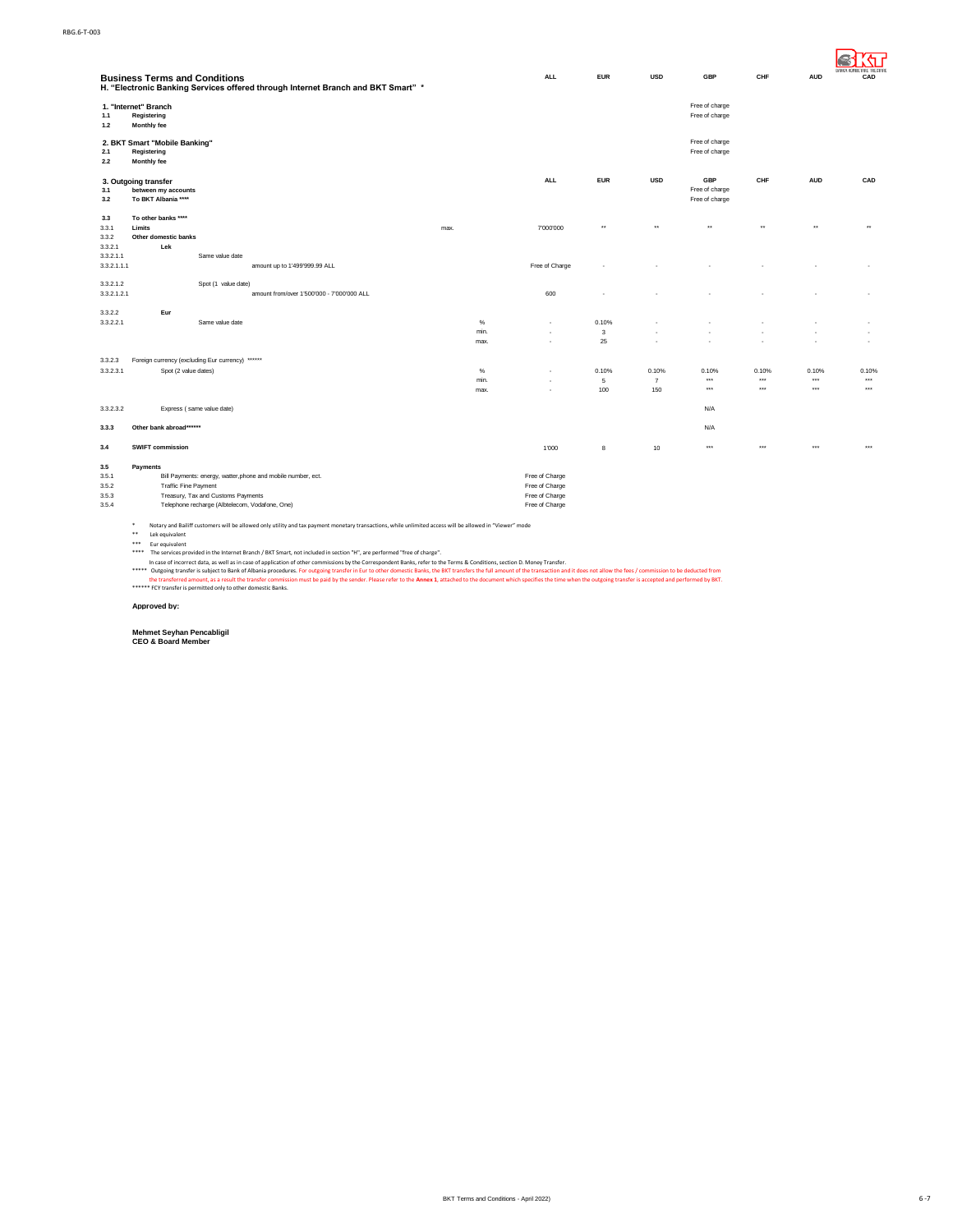|                                         | <b>Business Terms and Conditions</b><br>H. "Electronic Banking Services offered through Internet Branch and BKT Smart" *                                                                                                                                                                                                                                                                         |                      | <b>ALL</b>                                                           | <b>EUR</b>        | <b>USD</b>                     | <b>GBP</b>                                     | CHF                     | <b>AUD</b>              | <b>BANKA KOMBETARE TREGIA</b><br>CAD |
|-----------------------------------------|--------------------------------------------------------------------------------------------------------------------------------------------------------------------------------------------------------------------------------------------------------------------------------------------------------------------------------------------------------------------------------------------------|----------------------|----------------------------------------------------------------------|-------------------|--------------------------------|------------------------------------------------|-------------------------|-------------------------|--------------------------------------|
| 1.1<br>$1.2$                            | 1. "Internet" Branch<br>Registering<br>Monthly fee                                                                                                                                                                                                                                                                                                                                               |                      |                                                                      |                   |                                | Free of charge<br>Free of charge               |                         |                         |                                      |
| 2.1<br>2.2                              | 2. BKT Smart "Mobile Banking"<br>Registering<br>Monthly fee                                                                                                                                                                                                                                                                                                                                      |                      |                                                                      |                   |                                | Free of charge<br>Free of charge               |                         |                         |                                      |
| 3.1<br>3.2                              | 3. Outgoing transfer<br>between my accounts<br>To BKT Albania ****                                                                                                                                                                                                                                                                                                                               |                      | <b>ALL</b>                                                           | <b>EUR</b>        | <b>USD</b>                     | <b>GBP</b><br>Free of charge<br>Free of charge | CHF                     | <b>AUD</b>              | CAD                                  |
| 3.3<br>3.3.1<br>3.3.2                   | To other banks ****<br>Limits<br>Other domestic banks                                                                                                                                                                                                                                                                                                                                            | max.                 | 7'000'000                                                            | $\star\star$      | $\star\star$                   | ×                                              | $\ddot{}$               | $\star\star$            | $\star\star$                         |
| 3.3.2.1<br>3.3.2.1.1<br>3.3.2.1.1.1     | Lek<br>Same value date<br>amount up to 1'499'999.99 ALL                                                                                                                                                                                                                                                                                                                                          |                      | Free of Charge                                                       |                   |                                |                                                |                         |                         |                                      |
| 3.3.2.1.2<br>3.3.2.1.2.1                | Spot (1 value date)<br>amount from/over 1'500'000 - 7'000'000 ALL                                                                                                                                                                                                                                                                                                                                |                      | 600                                                                  |                   |                                |                                                |                         |                         |                                      |
| 3.3.2.2<br>3.3.2.2.1                    | Eur<br>Same value date                                                                                                                                                                                                                                                                                                                                                                           | $\%$<br>min.<br>max. | ×.                                                                   | 0.10%<br>3<br>25  |                                | ×,                                             |                         |                         | $\cdot$                              |
| 3.3.2.3<br>3.3.2.3.1                    | Foreign currency (excluding Eur currency) ******<br>Spot (2 value dates)                                                                                                                                                                                                                                                                                                                         | $\%$<br>min.<br>max. | $\mathbf{r}$                                                         | 0.10%<br>5<br>100 | 0.10%<br>$\overline{7}$<br>150 | 0.10%<br>$***$<br>$***$                        | 0.10%<br>$***$<br>$***$ | 0.10%<br>$***$<br>$***$ | 0.10%<br>$\cdots$<br>$\cdots$        |
| 3.3.2.3.2                               | Express (same value date)                                                                                                                                                                                                                                                                                                                                                                        |                      |                                                                      |                   |                                | N/A                                            |                         |                         |                                      |
| 3.3.3                                   | Other bank abroad******                                                                                                                                                                                                                                                                                                                                                                          |                      |                                                                      |                   |                                | N/A                                            |                         |                         |                                      |
| 3.4                                     | <b>SWIFT commission</b>                                                                                                                                                                                                                                                                                                                                                                          |                      | 1'000                                                                | 8                 | 10                             | $***$                                          | $***$                   | $***$                   | $***$                                |
| 3.5<br>3.5.1<br>3.5.2<br>3.5.3<br>3.5.4 | Payments<br>Bill Payments: energy, watter, phone and mobile number, ect.<br><b>Traffic Fine Payment</b><br>Treasury, Tax and Customs Payments<br>Telephone recharge (Albtelecom, Vodafone, One)<br>Notary and Bailiff customers will be allowed only utility and tax payment monetary transactions, while unlimited access will be allowed in "Viewer" mode<br>$\ast$<br>$***$<br>Lek equivalent |                      | Free of Charge<br>Free of Charge<br>Free of Charge<br>Free of Charge |                   |                                |                                                |                         |                         |                                      |

\* Notary and Bailiff customers will be allowed only utility and tax payment monetary transactions, while unlimited access will be allowed in "Viewer" mode<br>\*\* Eurequivalent<br>\*\* The services provided in the Internet Branch /

#### **Approved by:**

**Mehmet Seyhan Pencabligil CEO & Board Member**